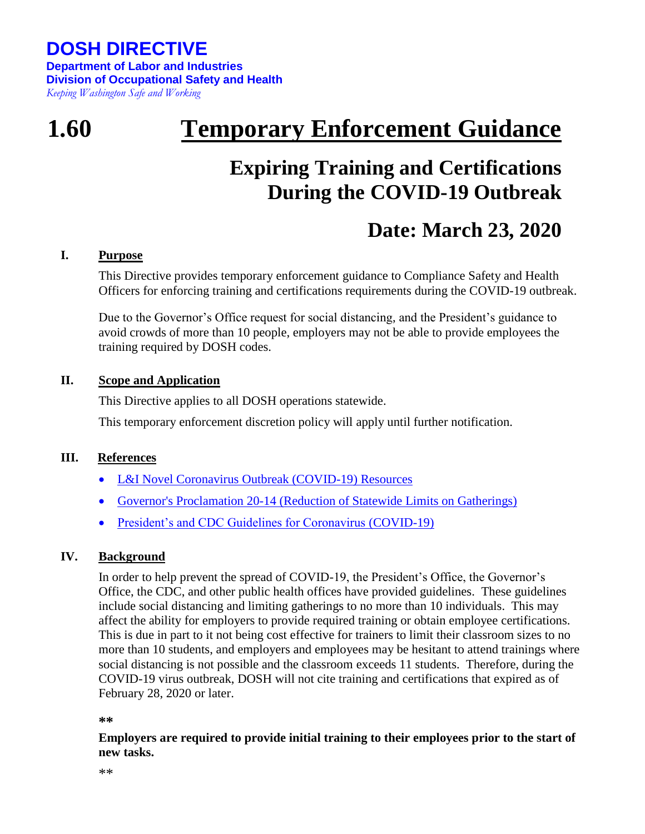**DOSH DIRECTIVE Department of Labor and Industries Division of Occupational Safety and Health** *Keeping Washington Safe and Working*

# **1.60 Temporary Enforcement Guidance**

## **Expiring Training and Certifications During the COVID-19 Outbreak**

### **Date: March 23, 2020**

#### **I. Purpose**

This Directive provides temporary enforcement guidance to Compliance Safety and Health Officers for enforcing training and certifications requirements during the COVID-19 outbreak.

Due to the Governor's Office request for social distancing, and the President's guidance to avoid crowds of more than 10 people, employers may not be able to provide employees the training required by DOSH codes.

#### **II. Scope and Application**

This Directive applies to all DOSH operations statewide.

This temporary enforcement discretion policy will apply until further notification.

#### **III. References**

- L&I Novel Coronavirus Outbreak (COVID-19) Resources
- Governor's Proclamation 20-14 (Reduction of Statewide Limits on Gatherings)
- President's and CDC Guidelines for Coronavirus (COVID-19)

### **IV. Background**

In order to help prevent the spread of COVID-19, the President's Office, the Governor's Office, the CDC, and other public health offices have provided guidelines. These guidelines include social distancing and limiting gatherings to no more than 10 individuals. This may affect the ability for employers to provide required training or obtain employee certifications. This is due in part to it not being cost effective for trainers to limit their classroom sizes to no more than 10 students, and employers and employees may be hesitant to attend trainings where social distancing is not possible and the classroom exceeds 11 students. Therefore, during the COVID-19 virus outbreak, DOSH will not cite training and certifications that expired as of February 28, 2020 or later.

#### **\*\***

**Employers are required to provide initial training to their employees prior to the start of new tasks.**

\*\*